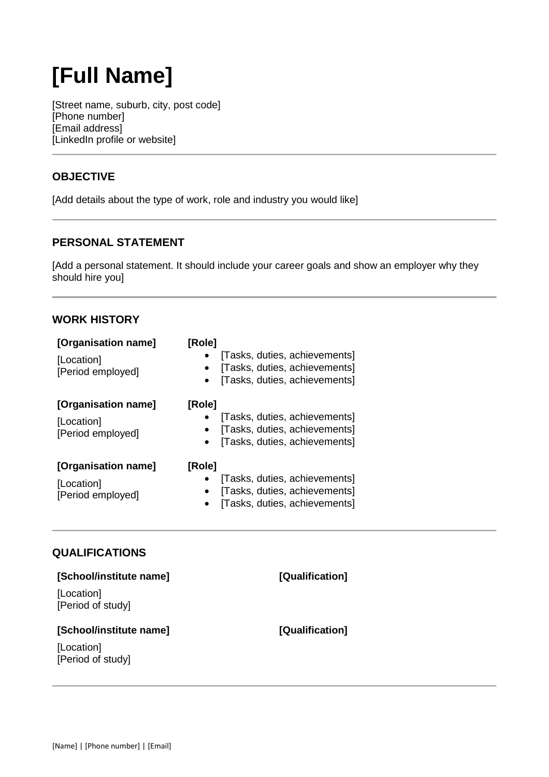# **[Full Name]**

[Street name, suburb, city, post code] [Phone number] [Email address] [LinkedIn profile or website]

## **OBJECTIVE**

[Add details about the type of work, role and industry you would like]

#### **PERSONAL STATEMENT**

[Add a personal statement. It should include your career goals and show an employer why they should hire you]

#### **WORK HISTORY**

| [Organisation name]<br>[Location]<br>[Period employed] | [Role]<br>[Tasks, duties, achievements]<br>[Tasks, duties, achievements]<br>$\bullet$<br>[Tasks, duties, achievements]<br>$\bullet$ |
|--------------------------------------------------------|-------------------------------------------------------------------------------------------------------------------------------------|
| [Organisation name]<br>[Location]<br>[Period employed] | [Role]<br>[Tasks, duties, achievements]<br>[Tasks, duties, achievements]<br>[Tasks, duties, achievements]                           |
| [Organisation name]<br>[Location]<br>[Period employed] | [Role]<br>[Tasks, duties, achievements]<br>[Tasks, duties, achievements]<br>٠<br>[Tasks, duties, achievements]                      |

## **QUALIFICATIONS**

| [School/institute name]         | [Qualification] |
|---------------------------------|-----------------|
| [Location]<br>[Period of study] |                 |
| [School/institute name]         | [Qualification] |
|                                 |                 |